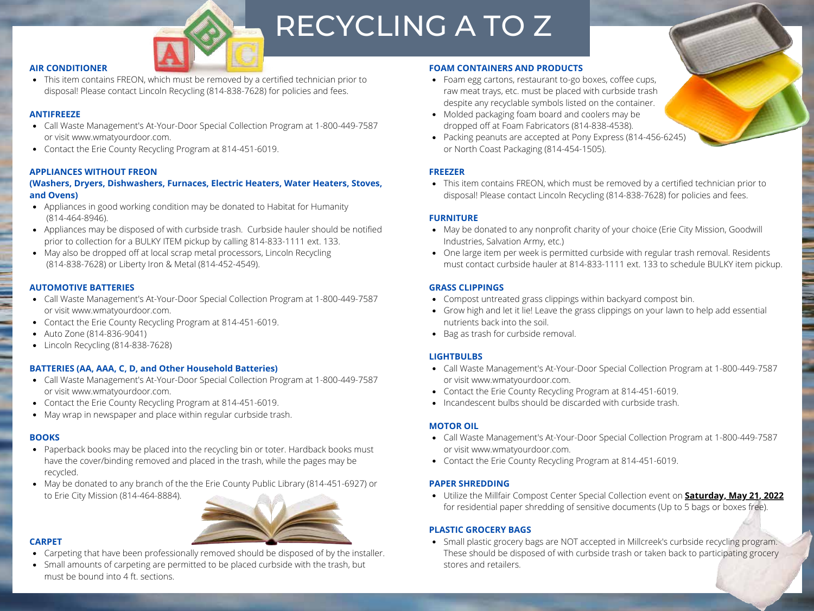

# RECYCLING A TO Z

## **AIR CONDITIONER**

This item contains FREON, which must be removed by a certified technician prior to disposal! Please contact Lincoln Recycling (814-838-7628) for policies and fees.

# **ANTIFREEZE**

- Call Waste Management's At-Your-Door Special Collection Program at 1-800-449-7587 or visit www.wmatyourdoor.com.
- Contact the Erie County Recycling Program at 814-451-6019.

# **APPLIANCES WITHOUT FREON**

## **(Washers, Dryers, Dishwashers, Furnaces, Electric Heaters, Water Heaters, Stoves, and Ovens)**

- Appliances in good working condition may be donated to Habitat for Humanity (814-464-8946).
- Appliances may be disposed of with curbside trash. Curbside hauler should be notified prior to collection for a BULKY ITEM pickup by calling 814-833-1111 ext. 133.
- May also be dropped off at local scrap metal processors, Lincoln Recycling (814-838-7628) or Liberty Iron & Metal (814-452-4549).

## **AUTOMOTIVE BATTERIES**

- Call Waste Management's At-Your-Door Special Collection Program at 1-800-449-7587 or visit www.wmatyourdoor.com.
- Contact the Erie County Recycling Program at 814-451-6019.
- Auto Zone (814-836-9041)
- Lincoln Recycling (814-838-7628)

# **BATTERIES (AA, AAA, C, D, and Other Household Batteries)**

- Call Waste Management's At-Your-Door Special Collection Program at 1-800-449-7587 or visit www.wmatyourdoor.com.
- Contact the Erie County Recycling Program at 814-451-6019.
- May wrap in newspaper and place within regular curbside trash.

# **BOOKS**

- Paperback books may be placed into the recycling bin or toter. Hardback books must have the cover/binding removed and placed in the trash, while the pages may be recycled.
- May be donated to any branch of the the Erie County Public Library (814-451-6927) or to Erie City Mission (814-464-8884).



- Carpeting that have been professionally removed should be disposed of by the installer.
- Small amounts of carpeting are permitted to be placed curbside with the trash, but must be bound into 4 ft. sections.

## **FOAM CONTAINERS AND PRODUCTS**

- Foam egg cartons, restaurant to-go boxes, coffee cups, raw meat trays, etc. must be placed with curbside trash despite any recyclable symbols listed on the container.
- Molded packaging foam board and coolers may be dropped off at Foam Fabricators (814-838-4538).
- Packing peanuts are accepted at Pony Express (814-456-6245) or North Coast Packaging (814-454-1505).

## **FREEZER**

• This item contains FREON, which must be removed by a certified technician prior to disposal! Please contact Lincoln Recycling (814-838-7628) for policies and fees.

# **FURNITURE**

- May be donated to any nonprofit charity of your choice (Erie City Mission, Goodwill Industries, Salvation Army, etc.)
- One large item per week is permitted curbside with regular trash removal. Residents must contact curbside hauler at 814-833-1111 ext. 133 to schedule BULKY item pickup.

# **GRASS CLIPPINGS**

- Compost untreated grass clippings within backyard compost bin.
- Grow high and let it lie! Leave the grass clippings on your lawn to help add essential nutrients back into the soil.
- Bag as trash for curbside removal.

# **LIGHTBULBS**

- Call Waste Management's At-Your-Door Special Collection Program at 1-800-449-7587 or visit www.wmatyourdoor.com.
- Contact the Erie County Recycling Program at 814-451-6019.
- Incandescent bulbs should be discarded with curbside trash.

# **MOTOR OIL**

- Call Waste Management's At-Your-Door Special Collection Program at 1-800-449-7587 or visit www.wmatyourdoor.com.
- Contact the Erie County Recycling Program at 814-451-6019.

# **PAPER SHREDDING**

Utilize the Millfair Compost Center Special Collection event on **Saturday, May 21, 2022** for residential paper shredding of sensitive documents (Up to 5 bags or boxes free).

# **PLASTIC GROCERY BAGS**

• Small plastic grocery bags are NOT accepted in Millcreek's curbside recycling program. These should be disposed of with curbside trash or taken back to participating grocery stores and retailers.